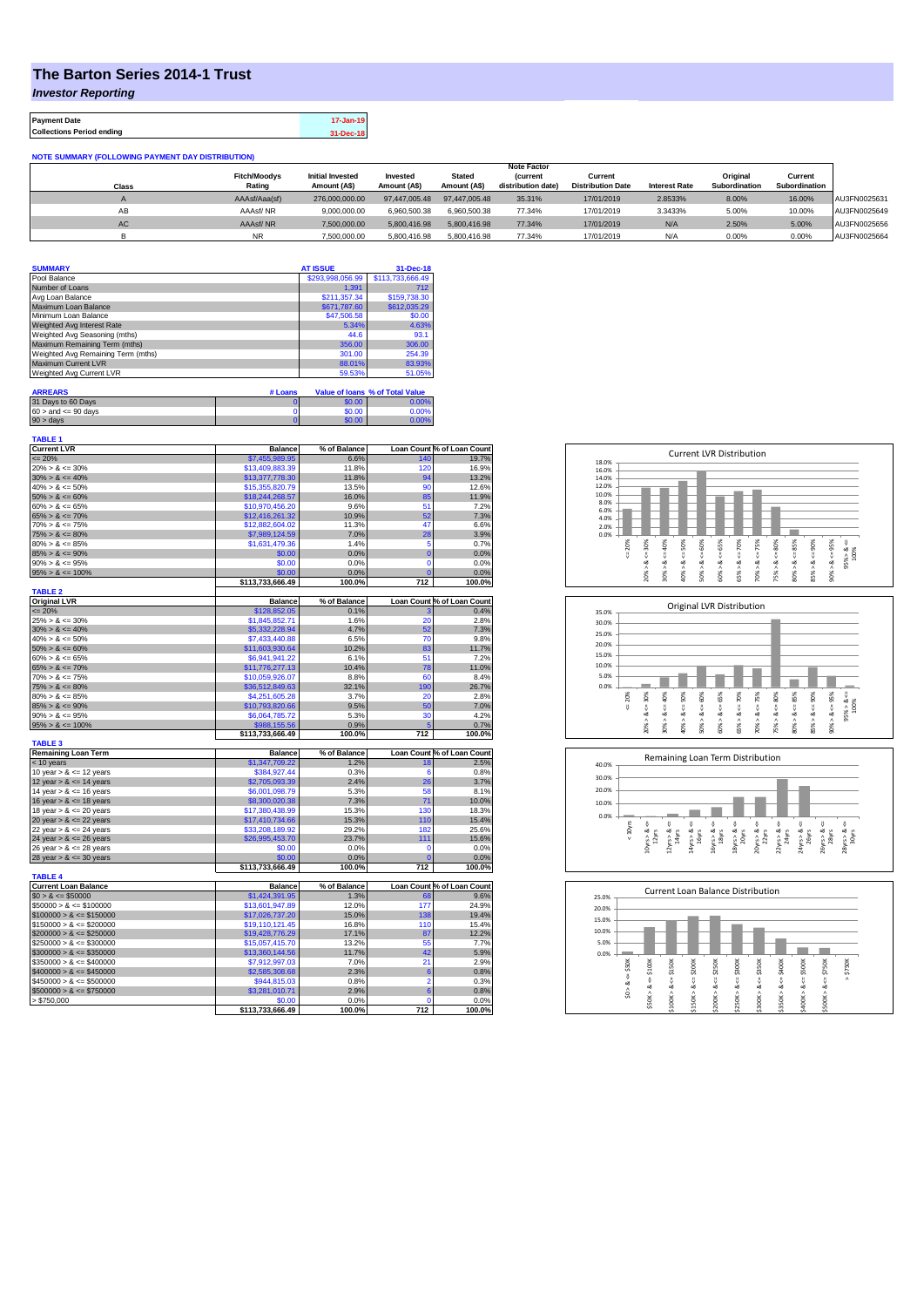## **The Barton Series 2014-1 Trust**

*Investor Reporting*

**Payment Date 17-Jan-19 Collections Period ending 31-Dec-18**

| <b>NOTE SUMMARY (FOLLOWING PAYMENT DAY DISTRIBUTION)</b> |                     |                         |               |               |                    |                          |                      |               |               |              |
|----------------------------------------------------------|---------------------|-------------------------|---------------|---------------|--------------------|--------------------------|----------------------|---------------|---------------|--------------|
|                                                          |                     | <b>Note Factor</b>      |               |               |                    |                          |                      |               |               |              |
|                                                          | <b>Fitch/Moodys</b> | <b>Initial Invested</b> | Invested      | <b>Stated</b> | <b>Current</b>     | Current                  |                      | Original      | Current       |              |
| Class                                                    | Rating              | Amount (A\$)            | Amount (A\$)  | Amount (A\$)  | distribution date) | <b>Distribution Date</b> | <b>Interest Rate</b> | Subordination | Subordination |              |
|                                                          | AAAsf/Aaa(sf)       | 276,000,000,00          | 97,447,005.48 | 97.447.005.48 | 35.31%             | 17/01/2019               | 2.8533%              | 8.00%         | 16.00%        | AU3FN0025631 |
| AB                                                       | AAAsf/NR            | 9.000.000.00            | 6.960.500.38  | 6.960.500.38  | 77.34%             | 17/01/2019               | 3.3433%              | 5.00%         | 10.00%        | AU3FN0025649 |
| AC                                                       | AAAsf/NR            | 7,500,000.00            | 5.800.416.98  | 5.800.416.98  | 77.34%             | 17/01/2019               | N/A                  | 2.50%         | 5.00%         | AU3FN0025656 |
|                                                          | <b>NR</b>           | 7.500.000.00            | 5.800.416.98  | 5.800.416.98  | 77.34%             | 17/01/2019               | N/A                  | 0.00%         | 0.00%         | AU3FN0025664 |

| <b>SUMMARY</b>                     | <b>AT ISSUE</b>  | 31-Dec-18                       |
|------------------------------------|------------------|---------------------------------|
| Pool Balance                       | \$293.998.056.99 | \$113,733,666.49                |
| Number of Loans                    | 1.391            | 712                             |
| Avg Loan Balance                   | \$211.357.34     | \$159,738.30                    |
| Maximum Loan Balance               | \$671,787.60     | \$612,035.29                    |
| Minimum Loan Balance               | \$47,506.58      | \$0.00                          |
| Weighted Avg Interest Rate         | 5.34%            | 4.63%                           |
| Weighted Avg Seasoning (mths)      | 44.6             | 93.1                            |
| Maximum Remaining Term (mths)      | 356.00           | 306.00                          |
| Weighted Avg Remaining Term (mths) | 301.00           | 254.39                          |
| Maximum Current LVR                | 88.01%           | 83.93%                          |
| Weighted Avg Current LVR           | 59.53%           | 51.05%                          |
| <b>ARREARS</b>                     | # Loans          | Value of Ioans % of Total Value |

| 31 Days to 60 Days        | \$0.00 | $0.00\%$ |
|---------------------------|--------|----------|
| $60 >$ and $\leq 90$ days | \$0.00 | 0.00%    |
| $90 >$ days               | \$0.00 | $7.00\%$ |

| <b>TABLE 1</b><br><b>Current LVR</b>     | <b>Balance</b>                   | % of Balance   |                | Loan Count % of Loan Count                                                                                                                                                                                                                                          |
|------------------------------------------|----------------------------------|----------------|----------------|---------------------------------------------------------------------------------------------------------------------------------------------------------------------------------------------------------------------------------------------------------------------|
| $= 20%$                                  | \$7,455,989.95                   | 6.6%           | 140            | 19.7%                                                                                                                                                                                                                                                               |
| $20\% > 8 \le 30\%$                      | \$13,409,883.39                  | 11.8%          | 120            | 16.9%                                                                                                                                                                                                                                                               |
| $30\% > 8 \le 40\%$                      | \$13,377,778.30                  | 11.8%          | 94             | 13.2%                                                                                                                                                                                                                                                               |
| $40\% > 8 \le 50\%$                      | \$15,355,820.79                  | 13.5%          | 90             | 12.6%                                                                                                                                                                                                                                                               |
| $50\% > 8 \le 60\%$                      | \$18,244,268.57                  | 16.0%          | 85             | 11.9%                                                                                                                                                                                                                                                               |
| $60\% > 8 \le 65\%$                      | \$10,970,456.20                  | 9.6%           | 51             | 7.2%                                                                                                                                                                                                                                                                |
| $65\% > 8 \le 70\%$                      | \$12,416,261.32                  | 10.9%          | 52             | 7.3%                                                                                                                                                                                                                                                                |
| $70\% > 8 \le 75\%$                      | \$12,882,604.02                  | 11.3%          | 47             | 6.6%                                                                                                                                                                                                                                                                |
| $75\% > 8 \le 80\%$                      | \$7,989,124.59                   | 7.0%           | 28             | 3.9%                                                                                                                                                                                                                                                                |
| $80\% > 8 \le 85\%$                      | \$1,631,479.36                   | 1.4%           | 5              | 0.7%                                                                                                                                                                                                                                                                |
| $85\% > 8 \le 90\%$                      | \$0.00                           | 0.0%           | $\overline{0}$ | 0.0%                                                                                                                                                                                                                                                                |
| $90\% > 8 \le 95\%$                      | \$0.00                           | 0.0%           | $\mathbf 0$    | 0.0%                                                                                                                                                                                                                                                                |
| $95\% > 8 \le 100\%$                     | \$0.00                           | 0.0%           | $\mathbf{C}$   | 0.0%                                                                                                                                                                                                                                                                |
|                                          | \$113,733,666.49                 | 100.0%         | 712            | 100.0%                                                                                                                                                                                                                                                              |
| <b>TABLE 2</b>                           |                                  |                |                |                                                                                                                                                                                                                                                                     |
| <b>Original LVR</b>                      | <b>Balance</b>                   | % of Balance   |                | Loan Count % of Loan Count                                                                                                                                                                                                                                          |
| $= 20%$                                  | \$128,852.05                     | 0.1%           | 3              | 0.4%                                                                                                                                                                                                                                                                |
| $25\% > 8 \le 30\%$                      | \$1,845,852.71                   | 1.6%           | 20             | 2.8%                                                                                                                                                                                                                                                                |
| $30\% > 8 \le 40\%$                      | \$5,332,228.94                   | 4.7%           | 52             | 7.3%                                                                                                                                                                                                                                                                |
| $40\% > 8 \le 50\%$                      | \$7,433,440.88                   | 6.5%           | 70             | 9.8%                                                                                                                                                                                                                                                                |
| $50\% > 8 \le 60\%$                      | \$11,603,930.64                  | 10.2%          | 83             | 11.7%                                                                                                                                                                                                                                                               |
| $60\% > 8 \le 65\%$                      | \$6,941,941.22                   | 6.1%           | 51             | 7.2%                                                                                                                                                                                                                                                                |
| $65\% > 8 \le 70\%$                      | \$11,776,277.13                  | 10.4%          | 78             | 11.0%                                                                                                                                                                                                                                                               |
| $70\% > 8 \le 75\%$                      | \$10,059,926.07                  | 8.8%           | 60             | 8.4%                                                                                                                                                                                                                                                                |
| $75\% > 8 \le 80\%$                      | \$36,512,849.63                  | 32.1%          | 190            | 26.7%                                                                                                                                                                                                                                                               |
| $80\% > 8 \le 85\%$                      | \$4,251,605.28                   | 3.7%           | 20             | 2.8%                                                                                                                                                                                                                                                                |
| $85\% > 8 \le 90\%$                      | \$10,793,820.66                  | 9.5%           | 50<br>30       | 7.0%<br>4.2%                                                                                                                                                                                                                                                        |
| $90\% > 8 \le 95\%$                      | \$6,064,785.72                   | 5.3%           |                |                                                                                                                                                                                                                                                                     |
| $95\% > 8 \le 100\%$                     | \$988.155.56<br>\$113,733,666.49 | 0.9%<br>100.0% | 712            | 0.7%<br>100.0%                                                                                                                                                                                                                                                      |
| <b>TABLE 3</b>                           |                                  |                |                |                                                                                                                                                                                                                                                                     |
|                                          |                                  |                |                |                                                                                                                                                                                                                                                                     |
| <b>Remaining Loan Term</b>               | <b>Balance</b>                   | % of Balance   |                |                                                                                                                                                                                                                                                                     |
| < 10 years                               | \$1,347,709.22                   | 1.2%           | 18             |                                                                                                                                                                                                                                                                     |
| 10 year $> 8 \le 12$ years               | \$384,927.44                     | 0.3%           | 6              |                                                                                                                                                                                                                                                                     |
| 12 year $> 8 \le 14$ years               | \$2,705,093.39                   | 2.4%           | 26             |                                                                                                                                                                                                                                                                     |
| 14 year $> 8 \le 16$ years               | \$6,001,098.79                   | 5.3%           | 58             |                                                                                                                                                                                                                                                                     |
| 16 year $> 8 \le 18$ years               | \$8,300,020.38                   | 7.3%           | 71             |                                                                                                                                                                                                                                                                     |
| 18 year $> 8 \le 20$ years               | \$17,380,438.99                  | 15.3%          | 130            |                                                                                                                                                                                                                                                                     |
| 20 year $> 8 \le 22$ years               | \$17,410,734.66                  | 15.3%          | 110            |                                                                                                                                                                                                                                                                     |
| 22 year $> 8 \le 24$ years               | \$33,208,189.92                  | 29.2%          | 182            |                                                                                                                                                                                                                                                                     |
| 24 year $> 8 \le 26$ years               | \$26,995,453.70                  | 23.7%          | 111            |                                                                                                                                                                                                                                                                     |
| 26 year $> 8 \le 28$ years               | \$0.00                           | 0.0%           | $\mathbf 0$    |                                                                                                                                                                                                                                                                     |
| 28 year $> 8 \le 30$ years               | \$0.00                           | 0.0%           | $\mathbf 0$    |                                                                                                                                                                                                                                                                     |
|                                          | \$113,733,666.49                 | 100.0%         | 712            |                                                                                                                                                                                                                                                                     |
| <b>TABLE 4</b>                           |                                  |                |                |                                                                                                                                                                                                                                                                     |
| <b>Current Loan Balance</b>              | <b>Balance</b>                   | % of Balance   |                |                                                                                                                                                                                                                                                                     |
| $$0 > 8 \le $50000$                      | \$1,424,391.95                   | 1.3%           | 68             |                                                                                                                                                                                                                                                                     |
| $$50000 > 8 \le $100000$                 | \$13,601,947.89                  | 12.0%          | 177            |                                                                                                                                                                                                                                                                     |
| $$100000 > 8 \le $150000$                | \$17,026,737.20                  | 15.0%          | 138            |                                                                                                                                                                                                                                                                     |
| $$150000 > 8 \le $200000$                | \$19,110,121.45                  | 16.8%          | 110            |                                                                                                                                                                                                                                                                     |
| $$200000 > 8 \leq $250000$               | \$19,428,776.29                  | 17.1%          | 87             |                                                                                                                                                                                                                                                                     |
| $$250000 > 8 \leq $300000$               | \$15,057,415.70                  | 13.2%          | 55             |                                                                                                                                                                                                                                                                     |
| $$300000 > 8 \leq $350000$               | \$13,360,144.56                  | 11.7%          | 42             |                                                                                                                                                                                                                                                                     |
| $$350000 > 8 \le $400000$                | \$7,912,997.03                   | 7.0%           | 21             |                                                                                                                                                                                                                                                                     |
| $$400000 > 8 \le $450000$                | \$2,585,308.68                   | 2.3%           | 6              |                                                                                                                                                                                                                                                                     |
| $$450000 > 8 \le $500000$                | \$944,815.03                     | 0.8%           | 2              |                                                                                                                                                                                                                                                                     |
| $$500000 > 8 \le $750000$<br>> \$750,000 | \$3,281,010.71<br>\$0.00         | 2.9%<br>0.0%   | 6<br>$\Omega$  | Loan Count % of Loan Count<br>2.5%<br>0.8%<br>3.7%<br>8.1%<br>10.0%<br>18.3%<br>15.4%<br>25.6%<br>15.6%<br>0.0%<br>0.0%<br>100.0%<br>Loan Count % of Loan Count<br>9.6%<br>24.9%<br>19.4%<br>15.4%<br>12.2%<br>7.7%<br>5.9%<br>2.9%<br>0.8%<br>0.3%<br>0.8%<br>0.0% |







| 25.0% |           |        | Current Loan Balance Distribution |        |        |         |        |         |        |         |          |
|-------|-----------|--------|-----------------------------------|--------|--------|---------|--------|---------|--------|---------|----------|
| 20.0% |           |        |                                   |        |        |         |        |         |        |         |          |
| 15.0% |           |        |                                   |        |        |         |        |         |        |         |          |
| 10.0% |           |        |                                   |        |        |         |        |         |        |         |          |
| 5.0%  |           |        |                                   |        |        |         |        |         |        |         |          |
| 0.0%  |           |        |                                   |        |        |         |        |         |        |         |          |
|       | \$50K     | \$100K | \$150K                            | \$200K | \$250K | \$300K  | \$350K | \$400K  | \$500K | \$750K  | \$750K   |
|       | V         | ő      | U                                 | ő      | ΰ      | ű       |        | ű       | υ      | ű       | $\wedge$ |
|       | ∞         | ಯ      | œ                                 | œ      | œ      | ∞       | œ      | ∞       | œ      | ∞       |          |
|       | $\hat{s}$ | \$50K> | Λ                                 | ٨      | л      | \$250K> |        | \$350K> |        |         |          |
|       |           |        | \$100K                            | \$150K | \$200K |         | \$300K |         | \$400K | \$500K> |          |